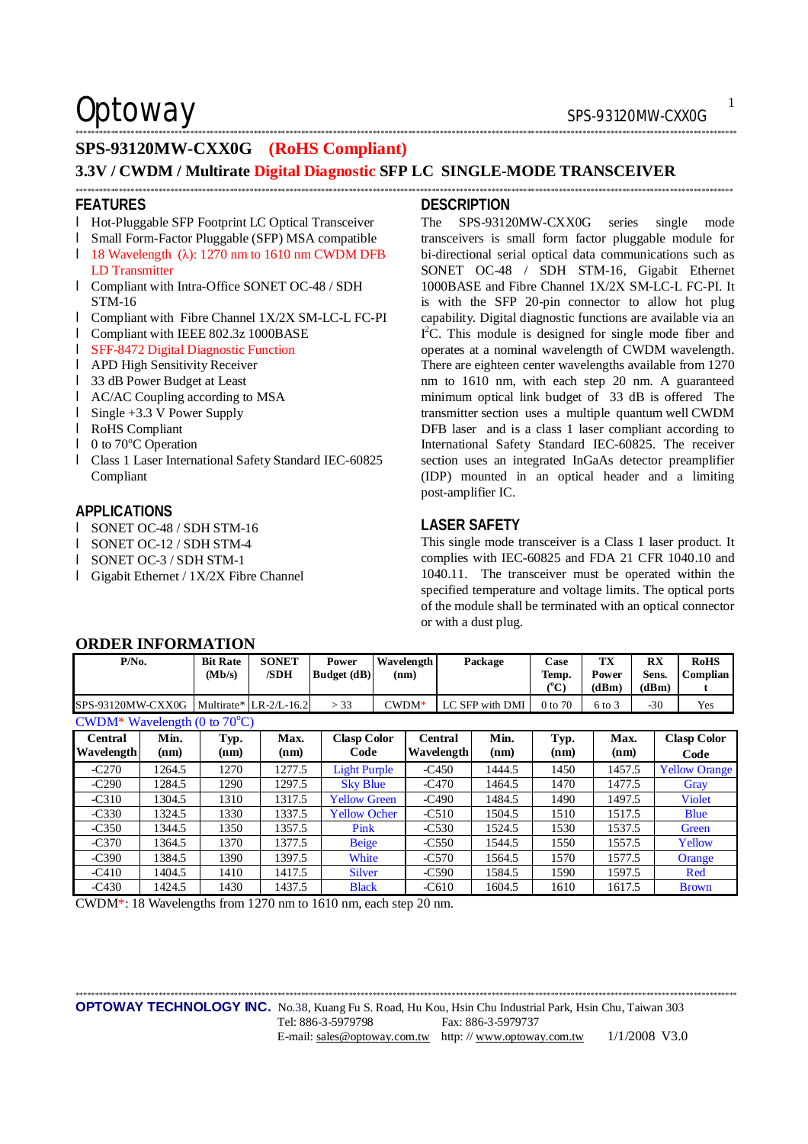Optoway SPS-93120MW-CXX0G

## **SPS-93120MW-CXX0G (RoHS Compliant)**

## **3.3V / CWDM / Multirate Digital Diagnostic SFP LC SINGLE-MODE TRANSCEIVER**

\*\*\*\*\*\*\*\*\*\*\*\*\*\*\*\*\*\*\*\*\*\*\*\*\*\*\*\*\*\*\*\*\*\*\*\*\*\*\*\*\*\*\*\*\*\*\*\*\*\*\*\*\*\*\*\*\*\*\*\*\*\*\*\*\*\*\*\*\*\*\*\*\*\*\*\*\*\*\*\*\*\*\*\*\*\*\*\*\*\*\*\*\*\*\*\*\*\*\*\*\*\*\*\*\*\*\*\*\*\*\*\*\*\*\*\*\*\*\*\*\*\*\*\*\*\*\*\*\*\*\*\*\*\*\*\*\*\*\*\*\*\*\*\*\*\*\*\*\*\*\*\*\*\*\*\*\*\*\*\*\*\*\*\*\*\*

### **FEATURES**

- l Hot-Pluggable SFP Footprint LC Optical Transceiver
- l Small Form-Factor Pluggable (SFP) MSA compatible
- l 18 Wavelength (λ): 1270 nm to 1610 nm CWDM DFB LD Transmitter
- l Compliant with Intra-Office SONET OC-48 / SDH STM-16
- l Compliant with Fibre Channel 1X/2X SM-LC-L FC-PI
- l Compliant with IEEE 802.3z 1000BASE
- l SFF-8472 Digital Diagnostic Function
- l APD High Sensitivity Receiver
- l 33 dB Power Budget at Least
- l AC/AC Coupling according to MSA
- l Single +3.3 V Power Supply
- l RoHS Compliant
- $\blacksquare$  0 to 70 $\degree$ C Operation
- l Class 1 Laser International Safety Standard IEC-60825 Compliant

### **APPLICATIONS**

- l SONET OC-48 / SDH STM-16
- l SONET OC-12 / SDH STM-4
- l SONET OC-3 / SDH STM-1

**ORDER INFORMATION** 

l Gigabit Ethernet / 1X/2X Fibre Channel

### **DESCRIPTION**

\*\*\*\*\*\*\*\*\*\*\*\*\*\*\*\*\*\*\*\*\*\*\*\*\*\*\*\*\*\*\*\*\*\*\*\*\*\*\*\*\*\*\*\*\*\*\*\*\*\*\*\*\*\*\*\*\*\*\*\*\*\*\*\*\*\*\*\*\*\*\*\*\*\*\*\*\*\*\*\*\*\*\*\*\*\*\*\*\*\*\*\*\*\*\*\*\*\*\*\*\*\*\*\*\*\*\*\*\*\*\*\*\*\*\*\*\*\*\*\*\*\*\*\*\*\*\*\*\*\*\*\*\*\*\*\*\*\*\*\*\*\*\*\*\*\*\*\*\*\*\*\*\*\*\*\*\*\*\*\*\*\*\*\*\*\*\*

The SPS-93120MW-CXX0G series single mode transceivers is small form factor pluggable module for bi-directional serial optical data communications such as SONET OC-48 / SDH STM-16, Gigabit Ethernet 1000BASE and Fibre Channel 1X/2X SM-LC-L FC-PI. It is with the SFP 20-pin connector to allow hot plug capability. Digital diagnostic functions are available via an I<sup>2</sup>C. This module is designed for single mode fiber and operates at a nominal wavelength of CWDM wavelength. There are eighteen center wavelengths available from 1270 nm to 1610 nm, with each step 20 nm. A guaranteed minimum optical link budget of 33 dB is offered The transmitter section uses a multiple quantum well CWDM DFB laser and is a class 1 laser compliant according to International Safety Standard IEC-60825. The receiver section uses an integrated InGaAs detector preamplifier (IDP) mounted in an optical header and a limiting post-amplifier IC.

### **LASER SAFETY**

This single mode transceiver is a Class 1 laser product. It complies with IEC-60825 and FDA 21 CFR 1040.10 and 1040.11. The transceiver must be operated within the specified temperature and voltage limits. The optical ports of the module shall be terminated with an optical connector or with a dust plug.

| $P/N0$ .                               |              | <b>Bit Rate</b><br>(Mb/s) | <b>SONET</b><br>/SDH       | Power<br><b>Budget</b> (dB) | Wavelength<br>(nm) |                              | Package         | Case<br>Temp.<br>(°C) | TX<br>Power<br>(dBm) | RX<br>Sens.<br>(dBm) | <b>RoHS</b><br>  Complian  |
|----------------------------------------|--------------|---------------------------|----------------------------|-----------------------------|--------------------|------------------------------|-----------------|-----------------------|----------------------|----------------------|----------------------------|
| SPS-93120MW-CXX0G                      |              |                           | Multirate* $ LR-2/L-16.2 $ | > 33                        | $CWDM*$            |                              | LC SFP with DMI | $0$ to $70$           | $6$ to $3$           | $-30$                | Yes                        |
| CWDM* Wavelength (0 to $70^{\circ}$ C) |              |                           |                            |                             |                    |                              |                 |                       |                      |                      |                            |
| <b>Central</b><br><b>Wavelength</b>    | Min.<br>(nm) | Typ.<br>(nm)              | Max.<br>(nm)               | Clasp Color<br>Code         |                    | Central<br><b>Wavelength</b> | Min.<br>(nm)    | Typ.<br>(nm)          | Max.<br>(nm)         |                      | <b>Clasp Color</b><br>Code |

| Central    | Min.   | Typ. | Max.   | <b>Clasp Color</b>  | Central    | Min.   | Typ. | Max.   | <b>Clasp Color</b>   |
|------------|--------|------|--------|---------------------|------------|--------|------|--------|----------------------|
| Wavelength | (nm)   | (nm) | (nm)   | Code                | Wavelength | (nm)   | (nm) | (nm)   | Code                 |
| $-C270$    | 1264.5 | 1270 | 1277.5 | <b>Light Purple</b> | $-C450$    | 1444.5 | 1450 | 1457.5 | <b>Yellow Orange</b> |
| $-C290$    | 1284.5 | 1290 | 1297.5 | <b>Sky Blue</b>     | $-C470$    | 1464.5 | 1470 | 1477.5 | Gray                 |
| $-C310$    | 1304.5 | 1310 | 1317.5 | <b>Yellow Green</b> | $-C490$    | 1484.5 | 1490 | 1497.5 | <b>Violet</b>        |
| $-C330$    | 1324.5 | 1330 | 1337.5 | <b>Yellow Ocher</b> | $-C510$    | 1504.5 | 1510 | 1517.5 | <b>Blue</b>          |
| $-C350$    | 1344.5 | 1350 | 1357.5 | Pink                | $-C530$    | 1524.5 | 1530 | 1537.5 | Green                |
| $-C370$    | 1364.5 | 1370 | 1377.5 | <b>Beige</b>        | $-C550$    | 1544.5 | 1550 | 1557.5 | Yellow               |
| $-C390$    | 1384.5 | 1390 | 1397.5 | White               | $-C570$    | 1564.5 | 1570 | 1577.5 | Orange               |
| $-C410$    | 1404.5 | 1410 | 1417.5 | <b>Silver</b>       | $-C590$    | 1584.5 | 1590 | 1597.5 | Red                  |
| $-C430$    | 1424.5 | 1430 | 1437.5 | <b>Black</b>        | $-C610$    | 1604.5 | 1610 | 1617.5 | <b>Brown</b>         |

CWDM\*: 18 Wavelengths from 1270 nm to 1610 nm, each step 20 nm.

\*\*\*\*\*\*\*\*\*\*\*\*\*\*\*\*\*\*\*\*\*\*\*\*\*\*\*\*\*\*\*\*\*\*\*\*\*\*\*\*\*\*\*\*\*\*\*\*\*\*\*\*\*\*\*\*\*\*\*\*\*\*\*\*\*\*\*\*\*\*\*\*\*\*\*\*\*\*\*\*\*\*\*\*\*\*\*\*\*\*\*\*\*\*\*\*\*\*\*\*\*\*\*\*\*\*\*\*\*\*\*\*\*\*\*\*\*\*\*\*\*\*\*\*\*\*\*\*\*\*\*\*\*\*\*\*\*\*\*\*\*\*\*\*\*\*\*\*\*\*\*\*\*\*\*\*\*\*\*\*\*\*\*\*\*\*\*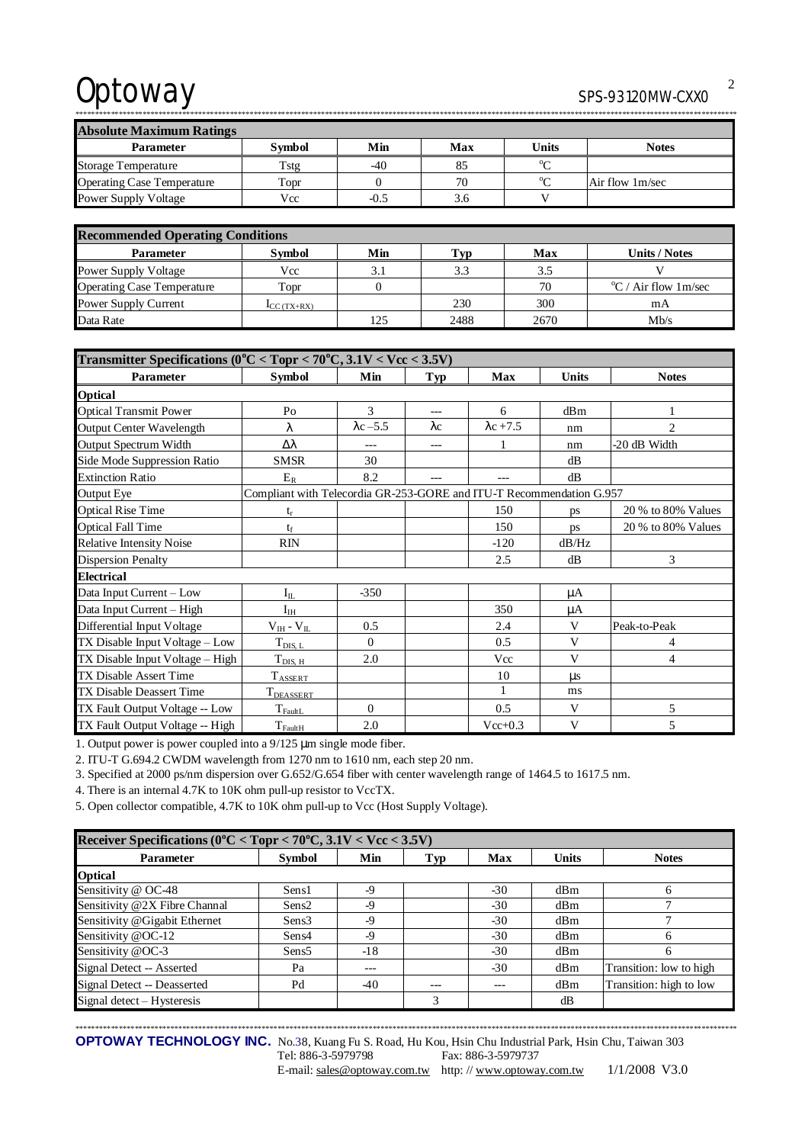# Optoway SPS-93120MW-CXX0

\*\*\*\*\*\*\*\*\*\*\*\*\*\*\*\*\*\*\*\*\*\*\*\*\*\*\*\*\*\*\*\*\*\*\*\*\*\*\*\*\*\*\*\*\*\*\*\*\*\*\*\*\*\*\*\*\*\*\*\*\*\*\*\*\*\*\*\*\*\*\*\*\*\*\*\*\*\*\*\*\*\*\*\*\*\*\*\*\*\*\*\*\*\*\*\*\*\*\*\*\*\*\*\*\*\*\*\*\*\*\*\*\*\*\*\*\*\*\*\*\*\*\*\*\*\*\*\*\*\*\*\*\*\*\*\*\*\*\*\*\*\*\*\*\*\*\*\*\*\*\*\*\*\*\*\*\*\*\*\*\*\*\*\*\*\*\*

| <b>Absolute Maximum Ratings</b>   |               |        |     |                |                 |  |  |  |
|-----------------------------------|---------------|--------|-----|----------------|-----------------|--|--|--|
| <b>Parameter</b>                  | <b>Symbol</b> | Min    | Max | Units          | <b>Notes</b>    |  |  |  |
| <b>Storage Temperature</b>        | Tstg          | $-40$  | 85  | 0 <sub>0</sub> |                 |  |  |  |
| <b>Operating Case Temperature</b> | Topr          |        | 70  | $\sim$         | Air flow 1m/sec |  |  |  |
| <b>Power Supply Voltage</b>       | Vcc           | $-0.5$ | 3.6 |                |                 |  |  |  |

| <b>Recommended Operating Conditions</b> |                          |     |      |      |                                |  |  |
|-----------------------------------------|--------------------------|-----|------|------|--------------------------------|--|--|
| <b>Parameter</b>                        | <b>Symbol</b>            | Min | Typ  | Max  | Units / Notes                  |  |  |
| Power Supply Voltage                    | Vcc                      | 3.1 | 3.3  | 3.5  |                                |  |  |
| <b>Operating Case Temperature</b>       | Topr                     |     |      | 70   | $\mathrm{C}$ / Air flow 1m/sec |  |  |
| Power Supply Current                    | $\mathbf{I}_{CC(TX+RX)}$ |     | 230  | 300  | mA                             |  |  |
| Data Rate                               |                          | 125 | 2488 | 2670 | Mb/s                           |  |  |

| Transmitter Specifications ( $0^{\circ}$ C < Topr < 70 $^{\circ}$ C, 3.1V < Vcc < 3.5V) |                                                                      |                  |             |                  |       |                    |  |
|-----------------------------------------------------------------------------------------|----------------------------------------------------------------------|------------------|-------------|------------------|-------|--------------------|--|
| Parameter                                                                               | <b>Symbol</b>                                                        | Min              | Typ         | <b>Max</b>       | Units | <b>Notes</b>       |  |
| <b>Optical</b>                                                                          |                                                                      |                  |             |                  |       |                    |  |
| <b>Optical Transmit Power</b>                                                           | P <sub>0</sub>                                                       | 3                | $---$       | 6                | dBm   | 1                  |  |
| Output Center Wavelength                                                                | λ                                                                    | $\lambda$ c -5.5 | $\lambda c$ | $\lambda$ c +7.5 | nm    | $\overline{c}$     |  |
| Output Spectrum Width                                                                   | Δλ                                                                   |                  | ---         | 1                | nm    | -20 dB Width       |  |
| Side Mode Suppression Ratio                                                             | <b>SMSR</b>                                                          | 30               |             |                  | dB    |                    |  |
| <b>Extinction Ratio</b>                                                                 | $E_R$                                                                | 8.2              |             | $---$            | dB    |                    |  |
| <b>Output Eye</b>                                                                       | Compliant with Telecordia GR-253-GORE and ITU-T Recommendation G.957 |                  |             |                  |       |                    |  |
| <b>Optical Rise Time</b>                                                                | $t_{r}$                                                              |                  |             | 150              | ps    | 20 % to 80% Values |  |
| <b>Optical Fall Time</b>                                                                | $t_f$                                                                |                  |             | 150              | ps    | 20 % to 80% Values |  |
| <b>Relative Intensity Noise</b>                                                         | <b>RIN</b>                                                           |                  |             | $-120$           | dB/Hz |                    |  |
| <b>Dispersion Penalty</b>                                                               |                                                                      |                  |             | 2.5              | dB    | 3                  |  |
| <b>Electrical</b>                                                                       |                                                                      |                  |             |                  |       |                    |  |
| Data Input Current - Low                                                                | $\mathbf{I}_{\rm IL}$                                                | $-350$           |             |                  | μA    |                    |  |
| Data Input Current - High                                                               | $I_{IH}$                                                             |                  |             | 350              | μA    |                    |  |
| Differential Input Voltage                                                              | $V_{IH} - V_{IL}$                                                    | 0.5              |             | 2.4              | V     | Peak-to-Peak       |  |
| TX Disable Input Voltage – Low                                                          | $T_{\text{DIS, L}}$                                                  | $\Omega$         |             | 0.5              | V     | 4                  |  |
| TX Disable Input Voltage - High                                                         | $T_{\text{DIS, H}}$                                                  | 2.0              |             | Vcc              | V     | 4                  |  |
| TX Disable Assert Time                                                                  | $T_{\text{ASSERT}}$                                                  |                  |             | 10               | μs    |                    |  |
| <b>TX Disable Deassert Time</b>                                                         | T <sub>DEASSERT</sub>                                                |                  |             | 1                | ms    |                    |  |
| TX Fault Output Voltage -- Low                                                          | $T_{\rm{FaultL}}$                                                    | $\Omega$         |             | 0.5              | V     | 5                  |  |
| TX Fault Output Voltage -- High                                                         | $T_{\text{FaultH}}$                                                  | 2.0              |             | $Vec{+}0.3$      | V     | 5                  |  |

1. Output power is power coupled into a 9/125 μm single mode fiber.

2. ITU-T G.694.2 CWDM wavelength from 1270 nm to 1610 nm, each step 20 nm.

3. Specified at 2000 ps/nm dispersion over G.652/G.654 fiber with center wavelength range of 1464.5 to 1617.5 nm.

4. There is an internal 4.7K to 10K ohm pull-up resistor to VccTX.

5. Open collector compatible, 4.7K to 10K ohm pull-up to Vcc (Host Supply Voltage).

| Receiver Specifications ( $0^{\circ}$ C < Topr < 70 $^{\circ}$ C, 3.1V < Vcc < 3.5V) |                   |       |       |            |              |                         |  |  |
|--------------------------------------------------------------------------------------|-------------------|-------|-------|------------|--------------|-------------------------|--|--|
| <b>Parameter</b>                                                                     | Symbol            | Min   | Typ   | <b>Max</b> | <b>Units</b> | <b>Notes</b>            |  |  |
| <b>Optical</b>                                                                       |                   |       |       |            |              |                         |  |  |
| Sensitivity @ OC-48                                                                  | Sens1             | $-9$  |       | $-30$      | dBm          |                         |  |  |
| Sensitivity @2X Fibre Channal                                                        | Sens <sub>2</sub> | $-9$  |       | $-30$      | dBm          |                         |  |  |
| Sensitivity @Gigabit Ethernet                                                        | Sens3             | $-9$  |       | $-30$      | dBm          |                         |  |  |
| Sensitivity @OC-12                                                                   | Sens4             | $-9$  |       | $-30$      | dBm          | <sub>6</sub>            |  |  |
| Sensitivity @OC-3                                                                    | Sens <sub>5</sub> | $-18$ |       | $-30$      | dBm          | <sub>6</sub>            |  |  |
| Signal Detect -- Asserted                                                            | Pa                | ---   |       | $-30$      | dBm          | Transition: low to high |  |  |
| Signal Detect -- Deasserted                                                          | Pd                | $-40$ | $---$ | $---$      | dBm          | Transition: high to low |  |  |
| Signal detect – Hysteresis                                                           |                   |       | 3     |            | dB           |                         |  |  |

\*\*\*\*\*\*\*\*\*\*\*\*\*\*\*\*\*\*\*\*\*\*\*\*\*\*\*\*\*\*\*\*\*\*\*\*\*\*\*\*\*\*\*\*\*\*\*\*\*\*\*\*\*\*\*\*\*\*\*\*\*\*\*\*\*\*\*\*\*\*\*\*\*\*\*\*\*\*\*\*\*\*\*\*\*\*\*\*\*\*\*\*\*\*\*\*\*\*\*\*\*\*\*\*\*\*\*\*\*\*\*\*\*\*\*\*\*\*\*\*\*\*\*\*\*\*\*\*\*\*\*\*\*\*\*\*\*\*\*\*\*\*\*\*\*\*\*\*\*\*\*\*\*\*\*\*\*\*\*\*\*\*\*\*\*\*\* **OPTOWAY TECHNOLOGY INC.** No.38, Kuang Fu S. Road, Hu Kou, Hsin Chu Industrial Park, Hsin Chu, Taiwan 303

Tel: 886-3-5979798 Fax: 886-3-5979737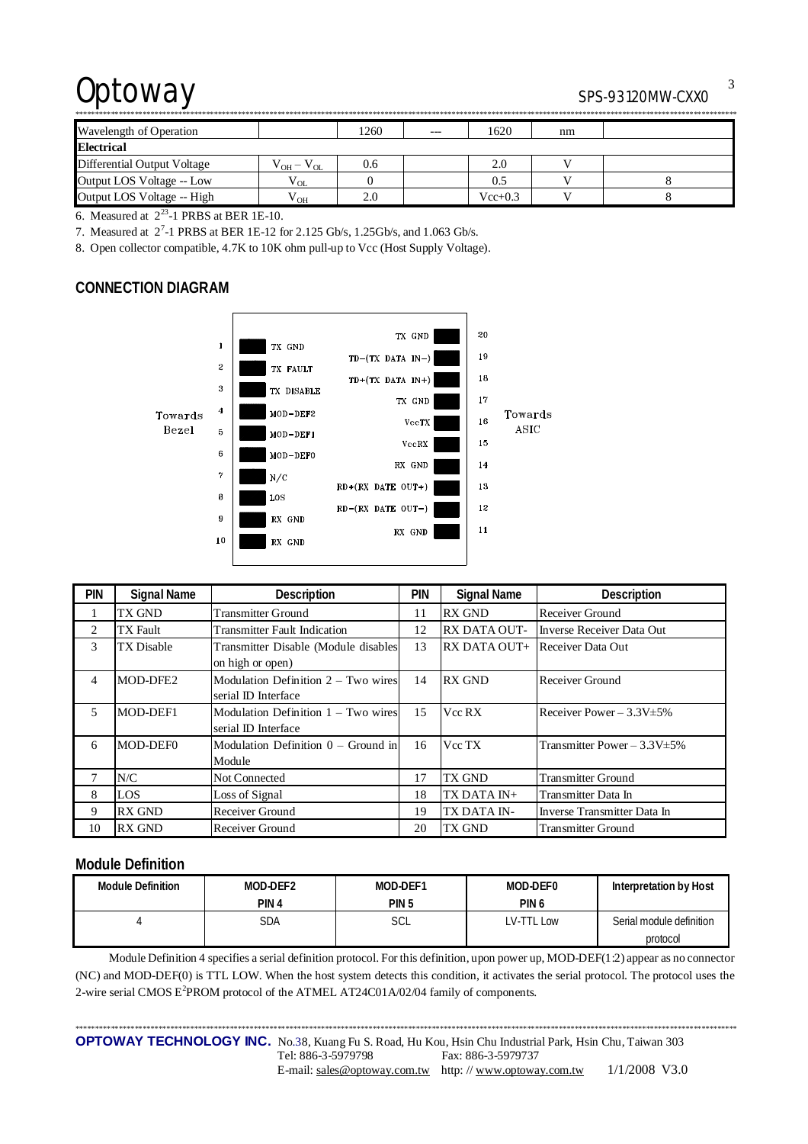# Optoway SPS-93120MW-CXX0

\*\*\*\*\*\*\*\*\*\*\*\*\*\*\*\*\*\*\*\*\*\*\*\*\*\*\*\*\*\*\*\*\*\*\*\*\*\*\*\*\*\*\*\*\*\*\*\*\*\*\*\*\*\*\*\*\*\*\*\*\*\*\*\*\*\*\*\*\*\*\*\*\*\*\*\*\*\*\*\*\*\*\*\*\*\*\*\*\*\*\*\*\*\*\*\*\*\*\*\*\*\*\*\*\*\*\*\*\*\*\*\*\*\*\*\*\*\*\*\*\*\*\*\*\*\*\*\*\*\*\*\*\*\*\*\*\*\*\*\*\*\*\*\*\*\*\*\*\*\*\*\*\*\*\*\*\*\*\*\*\*\*\*\*\*\*\*

| Wavelength of Operation     |                   | 1260 | $---$ | 1620        | nm |  |  |  |
|-----------------------------|-------------------|------|-------|-------------|----|--|--|--|
| <b>Electrical</b>           |                   |      |       |             |    |  |  |  |
| Differential Output Voltage | $V_{OH} - V_{OL}$ | 0.6  |       | 2.0         |    |  |  |  |
| Output LOS Voltage -- Low   | $V_{OL}$          |      |       | 0.5         |    |  |  |  |
| Output LOS Voltage -- High  | / OH              | 2.0  |       | $Vec{+}0.3$ |    |  |  |  |

6. Measured at  $2^{23}$ -1 PRBS at BER 1E-10.

7. Measured at 2<sup>7</sup> -1 PRBS at BER 1E-12 for 2.125 Gb/s, 1.25Gb/s, and 1.063 Gb/s.

8. Open collector compatible, 4.7K to 10K ohm pull-up to Vcc (Host Supply Voltage).

## **CONNECTION DIAGRAM**



| <b>PIN</b> | <b>Signal Name</b> | Description                           | <b>PIN</b> | <b>Signal Name</b>  | Description                        |
|------------|--------------------|---------------------------------------|------------|---------------------|------------------------------------|
|            | TX GND             | <b>Transmitter Ground</b>             | 11         | <b>RX GND</b>       | Receiver Ground                    |
| 2          | <b>TX</b> Fault    | <b>Transmitter Fault Indication</b>   | 12         | <b>RX DATA OUT-</b> | Inverse Receiver Data Out          |
| 3          | TX Disable         | Transmitter Disable (Module disables  | 13         | RX DATA OUT+        | Receiver Data Out                  |
|            |                    | on high or open)                      |            |                     |                                    |
| 4          | MOD-DFE2           | Modulation Definition $2 - Two wires$ | 14         | <b>RX GND</b>       | Receiver Ground                    |
|            |                    | serial ID Interface                   |            |                     |                                    |
| 5          | MOD-DEF1           | Modulation Definition $1 - Two wires$ | 15         | Vcc RX              | Receiver Power $-3.3V \pm 5\%$     |
|            |                    | serial ID Interface                   |            |                     |                                    |
| 6          | MOD-DEF0           | Modulation Definition $0 -$ Ground in | 16         | Vcc TX              | Transmitter Power - $3.3V \pm 5\%$ |
|            |                    | Module                                |            |                     |                                    |
|            | N/C                | <b>Not Connected</b>                  | 17         | <b>TX GND</b>       | <b>Transmitter Ground</b>          |
| 8          | LOS                | Loss of Signal                        | 18         | TX DATA IN+         | Transmitter Data In                |
| 9          | <b>RX GND</b>      | Receiver Ground                       | 19         | TX DATA IN-         | Inverse Transmitter Data In        |
| 10         | <b>RX GND</b>      | Receiver Ground                       | 20         | <b>TX GND</b>       | Transmitter Ground                 |

## **Module Definition**

| <b>Module Definition</b> | MOD-DEF2         | MOD-DEF1         | MOD-DEF0         | Interpretation by Host   |
|--------------------------|------------------|------------------|------------------|--------------------------|
|                          | PIN <sub>4</sub> | PIN <sub>5</sub> | PIN <sub>6</sub> |                          |
|                          | SDA              | SCL              | LV-TTL Low       | Serial module definition |
|                          |                  |                  |                  | protocol                 |

Module Definition 4 specifies a serial definition protocol. For this definition, upon power up, MOD-DEF(1:2) appear as no connector (NC) and MOD-DEF(0) is TTL LOW. When the host system detects this condition, it activates the serial protocol. The protocol uses the 2-wire serial CMOS E<sup>2</sup>PROM protocol of the ATMEL AT24C01A/02/04 family of components.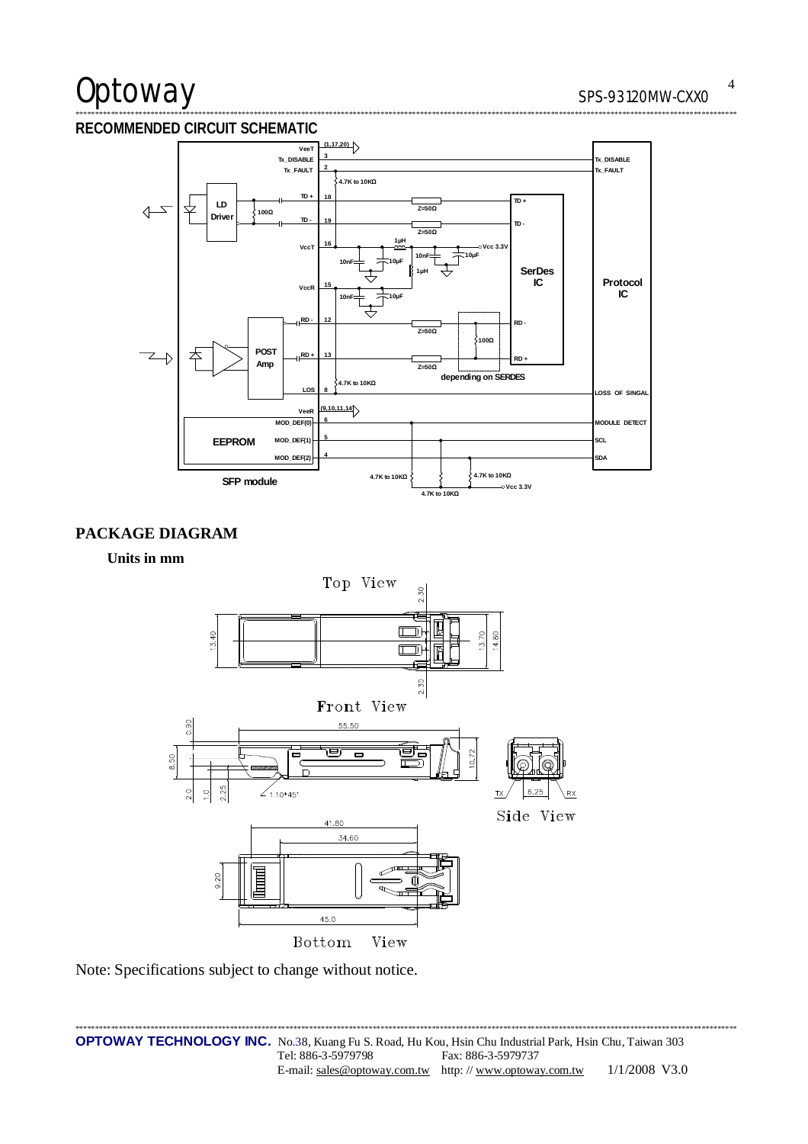# Optoway

## RECOMMENDED CIRCUIT SCHEMATIC



# PACKAGE DIAGRAM

Units in mm



Note: Specifications subject to change without notice.

 $\overline{4}$ . . . . . . .